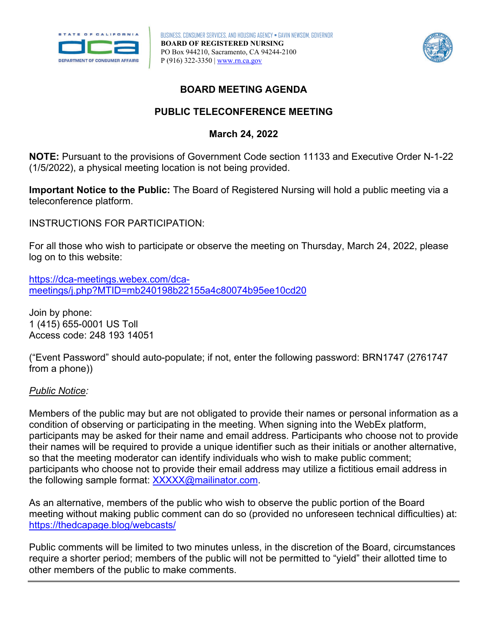

BUSINESS, CONSUMER SERVICES, AND HOUSING AGENCY • GAVIN NEWSOM, GOVERNOR **BOARD OF REGISTERED NURSING**  PO Box 944210, Sacramento, CA 94244-2100 P (916) 322-3350 | [www.rn.ca.gov](http://www.rn.ca.gov/) 



## **BOARD MEETING AGENDA**

# **PUBLIC TELECONFERENCE MEETING**

## **March 24, 2022**

 (1/5/2022), a physical meeting location is not being provided. **NOTE:** Pursuant to the provisions of Government Code section 11133 and Executive Order N-1-22

teleconference platform. **Important Notice to the Public:** The Board of Registered Nursing will hold a public meeting via a

INSTRUCTIONS FOR PARTICIPATION:

log on to this website: For all those who wish to participate or observe the meeting on Thursday, March 24, 2022, please

[https://dca-meetings.webex.com/dca](https://dca-meetings.webex.com/dca-meetings/j.php?MTID=mb240198b22155a4c80074b95ee10cd20)[meetings/j.php?MTID=mb240198b22155a4c80074b95ee10cd20](https://dca-meetings.webex.com/dca-meetings/j.php?MTID=mb240198b22155a4c80074b95ee10cd20) 

 Access code: 248 193 14051 Join by phone: 1 (415) 655-0001 US Toll

("Event Password" should auto-populate; if not, enter the following password: BRN1747 (2761747 from a phone))

#### *Public Notice:*

 their names will be required to provide a unique identifier such as their initials or another alternative, Members of the public may but are not obligated to provide their names or personal information as a condition of observing or participating in the meeting. When signing into the WebEx platform, participants may be asked for their name and email address. Participants who choose not to provide so that the meeting moderator can identify individuals who wish to make public comment; participants who choose not to provide their email address may utilize a fictitious email address in the following sample format: [XXXXX@mailinator.com.](mailto:XXXXX@mailinator.com)

As an alternative, members of the public who wish to observe the public portion of the Board meeting without making public comment can do so (provided no unforeseen technical difficulties) at: <https://thedcapage.blog/webcasts/>

Public comments will be limited to two minutes unless, in the discretion of the Board, circumstances require a shorter period; members of the public will not be permitted to "yield" their allotted time to other members of the public to make comments.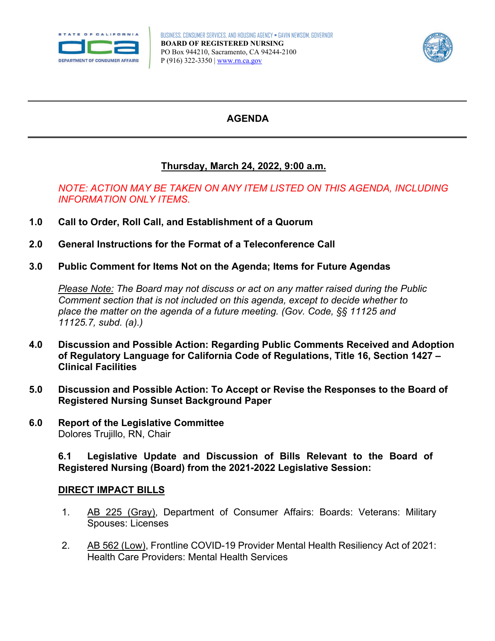



# **AGENDA**

# **Thursday, March 24, 2022, 9:00 a.m.**

### *NOTE: ACTION MAY BE TAKEN ON ANY ITEM LISTED ON THIS AGENDA, INCLUDING INFORMATION ONLY ITEMS.*

- **1.0 Call to Order, Roll Call, and Establishment of a Quorum**
- **2.0 General Instructions for the Format of a Teleconference Call**
- **3.0 Public Comment for Items Not on the Agenda; Items for Future Agendas**

*Please Note: The Board may not discuss or act on any matter raised during the Public Comment section that is not included on this agenda, except to decide whether to place the matter on the agenda of a future meeting. (Gov. Code, §§ 11125 and 11125.7, subd. (a).)* 

- **of Regulatory Language for California Code of Regulations, Title 16, Section 1427 4.0 Discussion and Possible Action: Regarding Public Comments Received and Adoption Clinical Facilities**
- **5.0 Discussion and Possible Action: To Accept or Revise the Responses to the Board of Registered Nursing Sunset Background Paper**
- **6.0 Report of the Legislative Committee**  Dolores Trujillo, RN, Chair

**6.1 Legislative Update and Discussion of Bills Relevant to the Board of Registered Nursing (Board) from the 2021-2022 Legislative Session:** 

#### **DIRECT IMPACT BILLS**

- 1. [AB 225 \(Gray\),](https://leginfo.legislature.ca.gov/faces/billNavClient.xhtml?bill_id=202120220AB225) Department of Consumer Affairs: Boards: Veterans: Military Spouses: Licenses
- 2. [AB 562 \(Low\),](https://leginfo.legislature.ca.gov/faces/billNavClient.xhtml?bill_id=202120220AB562) Frontline COVID-19 Provider Mental Health Resiliency Act of 2021: Health Care Providers: Mental Health Services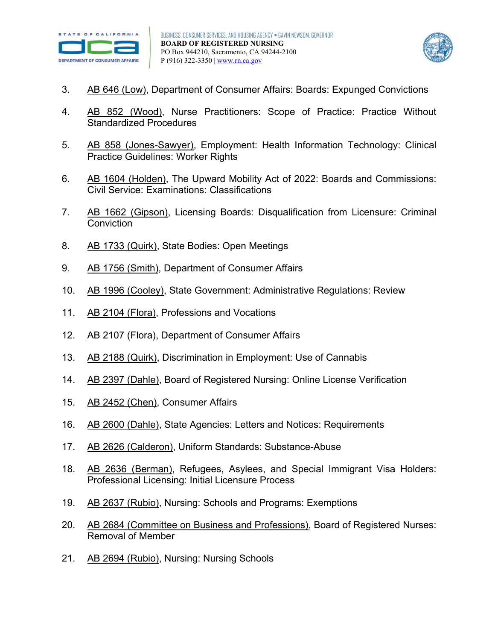



- 3. [AB 646 \(Low\),](https://leginfo.legislature.ca.gov/faces/billNavClient.xhtml?bill_id=202120220AB646) Department of Consumer Affairs: Boards: Expunged Convictions
- 4. [AB 852 \(Wood\),](https://leginfo.legislature.ca.gov/faces/billNavClient.xhtml?bill_id=202120220AB852) Nurse Practitioners: Scope of Practice: Practice Without Standardized Procedures
- 5. [AB 858 \(Jones-Sawyer\),](https://leginfo.legislature.ca.gov/faces/billNavClient.xhtml?bill_id=202120220AB858) Employment: Health Information Technology: Clinical Practice Guidelines: Worker Rights
- 6. [AB 1604 \(Holden\),](https://leginfo.legislature.ca.gov/faces/billNavClient.xhtml?bill_id=202120220AB1604) The Upward Mobility Act of 2022: Boards and Commissions: Civil Service: Examinations: Classifications
- 7. [AB 1662 \(Gipson\),](https://leginfo.legislature.ca.gov/faces/billNavClient.xhtml?bill_id=202120220AB1662) Licensing Boards: Disqualification from Licensure: Criminal **Conviction**
- 8. [AB 1733 \(Quirk\),](https://leginfo.legislature.ca.gov/faces/billTextClient.xhtml?bill_id=202120220AB1733) State Bodies: Open Meetings
- 9. [AB 1756 \(Smith\),](https://leginfo.legislature.ca.gov/faces/billNavClient.xhtml?bill_id=202120220AB1756) Department of Consumer Affairs
- 10. [AB 1996 \(Cooley\),](https://leginfo.legislature.ca.gov/faces/billNavClient.xhtml?bill_id=202120220AB1996) State Government: Administrative Regulations: Review
- 11. [AB 2104 \(Flora\),](https://leginfo.legislature.ca.gov/faces/billNavClient.xhtml?bill_id=202120220AB2104) Professions and Vocations
- 12. [AB 2107 \(Flora\),](https://leginfo.legislature.ca.gov/faces/billNavClient.xhtml?bill_id=202120220AB2107) Department of Consumer Affairs
- 13. [AB 2188 \(Quirk\),](https://leginfo.legislature.ca.gov/faces/billNavClient.xhtml?bill_id=202120220AB2188) Discrimination in Employment: Use of Cannabis
- 14. [AB 2397 \(Dahle\),](https://leginfo.legislature.ca.gov/faces/billNavClient.xhtml?bill_id=202120220AB2397) Board of Registered Nursing: Online License Verification
- 15. [AB 2452 \(Chen\),](https://leginfo.legislature.ca.gov/faces/billNavClient.xhtml?bill_id=202120220AB2452) Consumer Affairs
- 16. [AB 2600 \(Dahle\),](https://leginfo.legislature.ca.gov/faces/billNavClient.xhtml?bill_id=202120220AB2600) State Agencies: Letters and Notices: Requirements
- 17. [AB 2626 \(Calderon\),](https://leginfo.legislature.ca.gov/faces/billNavClient.xhtml?bill_id=202120220AB2626) Uniform Standards: Substance-Abuse
- 18. [AB 2636 \(Berman\),](https://leginfo.legislature.ca.gov/faces/billNavClient.xhtml?bill_id=202120220AB2636) Refugees, Asylees, and Special Immigrant Visa Holders: Professional Licensing: Initial Licensure Process
- 19. [AB 2637 \(Rubio\),](https://leginfo.legislature.ca.gov/faces/billNavClient.xhtml?bill_id=202120220AB2637) Nursing: Schools and Programs: Exemptions
- 20. [AB 2684 \(Committee on Business and Professions\),](https://leginfo.legislature.ca.gov/faces/billNavClient.xhtml?bill_id=202120220AB2684) Board of Registered Nurses: Removal of Member
- 21. [AB 2694 \(Rubio\),](https://leginfo.legislature.ca.gov/faces/billNavClient.xhtml?bill_id=202120220AB2694) Nursing: Nursing Schools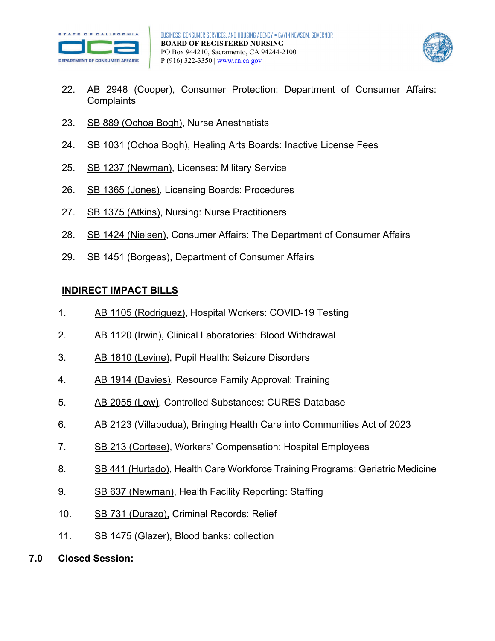



- 22. [AB 2948 \(Cooper\),](https://leginfo.legislature.ca.gov/faces/billNavClient.xhtml?bill_id=202120220AB2948) Consumer Protection: Department of Consumer Affairs: **Complaints**
- 23. [SB 889 \(Ochoa Bogh\),](https://leginfo.legislature.ca.gov/faces/billTextClient.xhtml?bill_id=202120220SB889&search_keywords=nurse%2C+nursing%2C+dca) Nurse Anesthetists
- 24. [SB 1031 \(Ochoa Bogh\),](https://leginfo.legislature.ca.gov/faces/billNavClient.xhtml?bill_id=202120220SB1031) Healing Arts Boards: Inactive License Fees
- 25. [SB 1237 \(Newman\),](https://leginfo.legislature.ca.gov/faces/billNavClient.xhtml?bill_id=202120220SB1237) Licenses: Military Service
- 26. [SB 1365 \(Jones\),](https://leginfo.legislature.ca.gov/faces/billNavClient.xhtml?bill_id=202120220SB1365) Licensing Boards: Procedures
- 27. [SB 1375 \(Atkins\),](https://leginfo.legislature.ca.gov/faces/billNavClient.xhtml?bill_id=202120220SB1375) Nursing: Nurse Practitioners
- 28. [SB 1424 \(Nielsen\),](https://leginfo.legislature.ca.gov/faces/billNavClient.xhtml?bill_id=202120220SB1424) Consumer Affairs: The Department of Consumer Affairs
- 29. [SB 1451 \(Borgeas\),](https://leginfo.legislature.ca.gov/faces/billNavClient.xhtml?bill_id=202120220SB1451) Department of Consumer Affairs

### **INDIRECT IMPACT BILLS**

- 1. [AB 1105 \(Rodriguez\),](https://leginfo.legislature.ca.gov/faces/billNavClient.xhtml?bill_id=202120220AB1105&firstNav=tracking) Hospital Workers: COVID-19 Testing
- 2. [AB 1120 \(Irwin\),](https://leginfo.legislature.ca.gov/faces/billNavClient.xhtml?bill_id=202120220AB1120) Clinical Laboratories: Blood Withdrawal
- 3. [AB 1810 \(Levine\),](https://leginfo.legislature.ca.gov/faces/billNavClient.xhtml?bill_id=202120220AB1810) Pupil Health: Seizure Disorders
- 4. [AB 1914 \(Davies\),](https://leginfo.legislature.ca.gov/faces/billNavClient.xhtml?bill_id=202120220AB1914) Resource Family Approval: Training
- 5. [AB 2055 \(Low\),](https://leginfo.legislature.ca.gov/faces/billNavClient.xhtml?bill_id=202120220AB2055) Controlled Substances: CURES Database
- 6. [AB 2123 \(Villapudua\),](https://leginfo.legislature.ca.gov/faces/billNavClient.xhtml?bill_id=202120220AB2123) Bringing Health Care into Communities Act of 2023
- 7. [SB 213 \(Cortese\),](https://leginfo.legislature.ca.gov/faces/billNavClient.xhtml?bill_id=202120220SB213&firstNav=tracking) Workers' Compensation: Hospital Employees
- 8. [SB 441 \(Hurtado\),](https://leginfo.legislature.ca.gov/faces/billNavClient.xhtml?bill_id=202120220SB441) Health Care Workforce Training Programs: Geriatric Medicine
- 9. [SB 637 \(Newman\),](https://leginfo.legislature.ca.gov/faces/billNavClient.xhtml?bill_id=202120220SB637&firstNav=tracking) Health Facility Reporting: Staffing
- 10. [SB 731 \(Durazo\),](https://leginfo.legislature.ca.gov/faces/billNavClient.xhtml?bill_id=202120220SB731) Criminal Records: Relief
- 11. [SB 1475 \(Glazer\),](https://leginfo.legislature.ca.gov/faces/billNavClient.xhtml?bill_id=202120220SB1475) Blood banks: collection
- **7.0 Closed Session:**